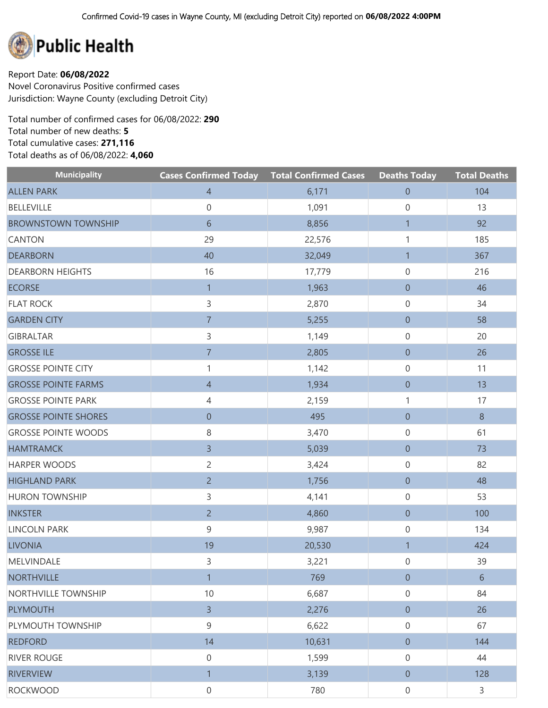

Report Date: **06/08/2022** Novel Coronavirus Positive confirmed cases Jurisdiction: Wayne County (excluding Detroit City)

Total number of confirmed cases for 06/08/2022: **290** Total number of new deaths: **5** Total cumulative cases: **271,116** Total deaths as of 06/08/2022: **4,060**

| <b>Municipality</b>         | <b>Cases Confirmed Today Total Confirmed Cases</b> |        | <b>Deaths Today</b> | <b>Total Deaths</b> |
|-----------------------------|----------------------------------------------------|--------|---------------------|---------------------|
| <b>ALLEN PARK</b>           | $\overline{4}$                                     | 6,171  | $\boldsymbol{0}$    | 104                 |
| <b>BELLEVILLE</b>           | $\boldsymbol{0}$                                   | 1,091  | $\mathsf{O}\xspace$ | 13                  |
| <b>BROWNSTOWN TOWNSHIP</b>  | 6                                                  | 8,856  | $\mathbf{1}$        | 92                  |
| <b>CANTON</b>               | 29                                                 | 22,576 | 1                   | 185                 |
| <b>DEARBORN</b>             | 40                                                 | 32,049 | $\mathbf{1}$        | 367                 |
| <b>DEARBORN HEIGHTS</b>     | 16                                                 | 17,779 | $\mathsf{O}\xspace$ | 216                 |
| <b>ECORSE</b>               | $\mathbf{1}$                                       | 1,963  | $\boldsymbol{0}$    | 46                  |
| <b>FLAT ROCK</b>            | 3                                                  | 2,870  | 0                   | 34                  |
| <b>GARDEN CITY</b>          | $\overline{7}$                                     | 5,255  | $\boldsymbol{0}$    | 58                  |
| <b>GIBRALTAR</b>            | 3                                                  | 1,149  | 0                   | 20                  |
| <b>GROSSE ILE</b>           | $\overline{7}$                                     | 2,805  | $\overline{0}$      | 26                  |
| <b>GROSSE POINTE CITY</b>   | 1                                                  | 1,142  | 0                   | 11                  |
| <b>GROSSE POINTE FARMS</b>  | $\overline{4}$                                     | 1,934  | $\boldsymbol{0}$    | 13                  |
| <b>GROSSE POINTE PARK</b>   | 4                                                  | 2,159  | 1                   | 17                  |
| <b>GROSSE POINTE SHORES</b> | $\boldsymbol{0}$                                   | 495    | $\overline{0}$      | $8\phantom{1}$      |
| <b>GROSSE POINTE WOODS</b>  | 8                                                  | 3,470  | 0                   | 61                  |
| <b>HAMTRAMCK</b>            | $\overline{3}$                                     | 5,039  | $\overline{0}$      | 73                  |
| <b>HARPER WOODS</b>         | $\overline{c}$                                     | 3,424  | 0                   | 82                  |
| <b>HIGHLAND PARK</b>        | $\overline{2}$                                     | 1,756  | $\boldsymbol{0}$    | 48                  |
| <b>HURON TOWNSHIP</b>       | 3                                                  | 4,141  | 0                   | 53                  |
| <b>INKSTER</b>              | $\overline{2}$                                     | 4,860  | $\overline{0}$      | 100                 |
| <b>LINCOLN PARK</b>         | 9                                                  | 9,987  | 0                   | 134                 |
| <b>LIVONIA</b>              | 19                                                 | 20,530 | $\mathbf{1}$        | 424                 |
| MELVINDALE                  | 3                                                  | 3,221  | $\mathsf{O}\xspace$ | 39                  |
| <b>NORTHVILLE</b>           | $\mathbf{1}$                                       | 769    | $\boldsymbol{0}$    | $6\,$               |
| NORTHVILLE TOWNSHIP         | 10                                                 | 6,687  | $\boldsymbol{0}$    | 84                  |
| <b>PLYMOUTH</b>             | $\mathsf{3}$                                       | 2,276  | $\overline{0}$      | 26                  |
| PLYMOUTH TOWNSHIP           | 9                                                  | 6,622  | $\mathbf 0$         | 67                  |
| <b>REDFORD</b>              | 14                                                 | 10,631 | $\overline{0}$      | 144                 |
| <b>RIVER ROUGE</b>          | $\mathbf 0$                                        | 1,599  | $\mathbf 0$         | 44                  |
| <b>RIVERVIEW</b>            | $\mathbf{1}$                                       | 3,139  | $\overline{0}$      | 128                 |
| <b>ROCKWOOD</b>             | $\mathbf 0$                                        | 780    | $\boldsymbol{0}$    | $\mathsf{3}$        |